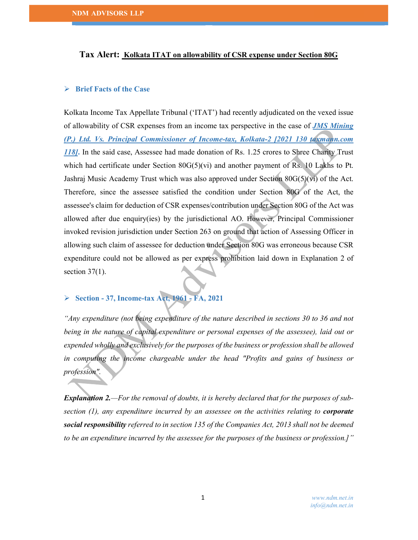### Tax Alert: Kolkata ITAT on allowability of CSR expense under Section 80G

### $\triangleright$  Brief Facts of the Case

Kolkata Income Tax Appellate Tribunal ('ITAT') had recently adjudicated on the vexed issue of allowability of CSR expenses from an income tax perspective in the case of *JMS Mining* (P.) Ltd. Vs. Principal Commissioner of Income-tax, Kolkata-2 [2021 130 taxmann.com 118]. In the said case, Assessee had made donation of Rs. 1.25 crores to Shree Charity Trust which had certificate under Section  $80G(5)(vi)$  and another payment of Rs. 10 Lakhs to Pt. Jashraj Music Academy Trust which was also approved under Section 80G(5)(vi) of the Act. Therefore, since the assessee satisfied the condition under Section 80G of the Act, the assessee's claim for deduction of CSR expenses/contribution under Section 80G of the Act was allowed after due enquiry(ies) by the jurisdictional AO. However, Principal Commissioner invoked revision jurisdiction under Section 263 on ground that action of Assessing Officer in allowing such claim of assessee for deduction under Section 80G was erroneous because CSR expenditure could not be allowed as per express prohibition laid down in Explanation 2 of section  $37(1)$ .

# $\triangleright$  Section - 37, Income-tax Act, 1961 - FA, 2021

"Any expenditure (not being expenditure of the nature described in sections 30 to 36 and not being in the nature of capital expenditure or personal expenses of the assessee), laid out or expended wholly and exclusively for the purposes of the business or profession shall be allowed in computing the income chargeable under the head "Profits and gains of business or profession".

**Explanation 2.**—For the removal of doubts, it is hereby declared that for the purposes of subsection  $(1)$ , any expenditure incurred by an assessee on the activities relating to corporate social responsibility referred to in section 135 of the Companies Act, 2013 shall not be deemed to be an expenditure incurred by the assessee for the purposes of the business or profession.]"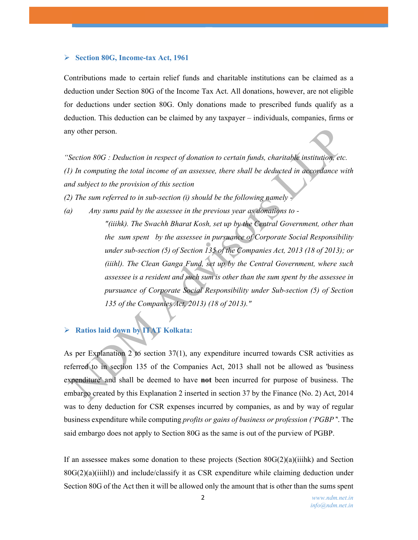### Section 80G, Income-tax Act, 1961

Contributions made to certain relief funds and charitable institutions can be claimed as a deduction under Section 80G of the Income Tax Act. All donations, however, are not eligible for deductions under section 80G. Only donations made to prescribed funds qualify as a deduction. This deduction can be claimed by any taxpayer – individuals, companies, firms or any other person.

"Section 80G : Deduction in respect of donation to certain funds, charitable institution, etc. (1) In computing the total income of an assessee, there shall be deducted in accordance with and subject to the provision of this section

(2) The sum referred to in sub-section (i) should be the following namely -

(a)  $Any sum of a box is a function of a box.$  Any sums paid by the assessee in the previous year as donations to  $-$ "(iiihk). The Swachh Bharat Kosh, set up by the Central Government, other than the sum spent by the assessee in pursuance of Corporate Social Responsibility under sub-section (5) of Section 135 of the Companies Act, 2013 (18 of 2013); or (iiihl). The Clean Ganga Fund, set up by the Central Government, where such assessee is a resident and such sum is other than the sum spent by the assessee in pursuance of Corporate Social Responsibility under Sub-section (5) of Section 135 of the Companies Act, 2013) (18 of 2013)."

## Ratios laid down by ITAT Kolkata:

As per Explanation 2 to section 37(1), any expenditure incurred towards CSR activities as referred to in section 135 of the Companies Act, 2013 shall not be allowed as 'business expenditure' and shall be deemed to have not been incurred for purpose of business. The embargo created by this Explanation 2 inserted in section 37 by the Finance (No. 2) Act, 2014 was to deny deduction for CSR expenses incurred by companies, as and by way of regular business expenditure while computing *profits or gains of business or profession ('PGBP*". The said embargo does not apply to Section 80G as the same is out of the purview of PGBP.

If an assessee makes some donation to these projects (Section  $80G(2)(a)(ii)$ ihk) and Section  $80G(2)(a)(ii)$  and include/classify it as CSR expenditure while claiming deduction under Section 80G of the Act then it will be allowed only the amount that is other than the sums spent